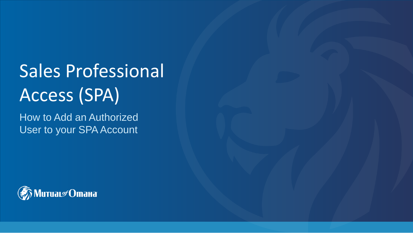# Sales Professional Access (SPA)

How to Add an Authorized User to your SPA Account

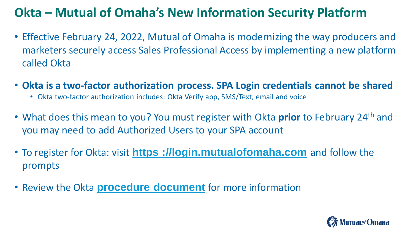## **Okta – Mutual of Omaha's New Information Security Platform**

- Effective February 24, 2022, Mutual of Omaha is modernizing the way producers and marketers securely access Sales Professional Access by implementing a new platform called Okta
- **Okta is a two-factor authorization process. SPA Login credentials cannot be shared**
	- Okta two-factor authorization includes: Okta Verify app, SMS/Text, email and voice
- What does this mean to you? You must register with Okta **prior** to February 24th and you may need to add Authorized Users to your SPA account
- To register for Okta: visit **[https ://login.mutualofomaha.com](https://login.mutualofomaha.com/)** and follow the prompts
- Review the Okta **[procedure document](http://blogs.mutualofomaha.com/express/files/2021/12/OKTA_Multifactor_MFA_Registration_Process_External.pdf)** for more information

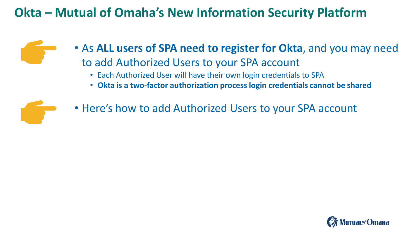## **Okta – Mutual of Omaha's New Information Security Platform**

- As **ALL users of SPA need to register for Okta**, and you may need to add Authorized Users to your SPA account
	- Each Authorized User will have their own login credentials to SPA
	- **Okta is a two-factor authorization process login credentials cannot be shared**



• Here's how to add Authorized Users to your SPA account

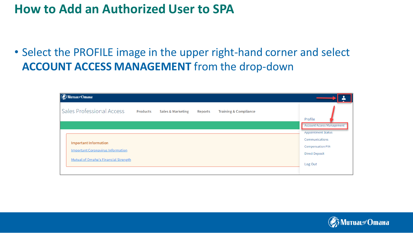## **How to Add an Authorized User to SPA**

## • Select the PROFILE image in the upper right-hand corner and select **ACCOUNT ACCESS MANAGEMENT** from the drop-down

| <b>© MuruaL</b> of Omaha                                                                                                |                 |                              |                |                                  | ▬                                                                                                                                              |
|-------------------------------------------------------------------------------------------------------------------------|-----------------|------------------------------|----------------|----------------------------------|------------------------------------------------------------------------------------------------------------------------------------------------|
| Sales Professional Access                                                                                               | <b>Products</b> | <b>Sales &amp; Marketing</b> | <b>Reports</b> | <b>Training &amp; Compliance</b> | Profile                                                                                                                                        |
| <b>Important Information</b><br><b>Important Coronavirus Information</b><br><b>Mutual of Omaha's Financial Strength</b> |                 |                              |                |                                  | <b>Account Access Management</b><br><b>Appointment Status</b><br>Communications<br><b>Compensation PIN</b><br><b>Direct Deposit</b><br>Log Out |

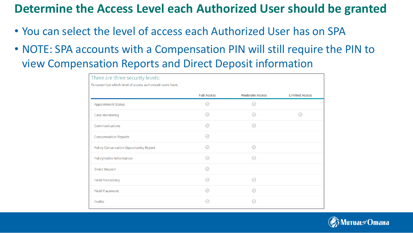## **Determine the Access Level each Authorized User should be granted**

- You can select the level of access each Authorized User has on SPA
- NOTE: SPA accounts with a Compensation PIN will still require the PIN to view Compensation Reports and Direct Deposit information

| There are three security levels:                          |                    |                          |                       |
|-----------------------------------------------------------|--------------------|--------------------------|-----------------------|
| To customize which level of access authorized users have. |                    |                          |                       |
|                                                           | <b>Full Access</b> | <b>Moderate Access</b>   | <b>Limited Access</b> |
| <b>Appointment Status</b>                                 | ∞                  | v                        |                       |
| <b>Case Monitoring</b>                                    | ∞                  | M                        | $\circledcirc$        |
| Communications                                            | Ø                  | (V)                      |                       |
| <b>Compensation Reports</b>                               | の                  |                          |                       |
| <b>Policy Conservation Opportunity Report</b>             | の                  | Ø                        |                       |
| Policyholder Information                                  | の                  | $\small \textcircled{1}$ |                       |
| <b>Direct Deposit</b>                                     | ∞                  |                          |                       |
| <b>Field Persistency</b>                                  | の                  | ⊘                        |                       |
| <b>Field Placement</b>                                    | ⋒                  | (J                       |                       |
| Profile                                                   | (J                 | (J                       |                       |

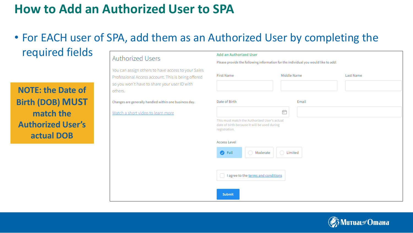## **How to Add an Authorized User to SPA**

### • For EACH user of SPA, add them as an Authorized User by completing the required fields

#### Authorized Users

You can assign others to ha Professional Access accour so you won't have to share others.

Changes are generally handled wi

Watch a short video to lear

|                                                                            | <b>Add an Authorized User</b><br>Please provide the following information for the individual you would like to add:                                                                                       |             |                  |  |  |  |  |
|----------------------------------------------------------------------------|-----------------------------------------------------------------------------------------------------------------------------------------------------------------------------------------------------------|-------------|------------------|--|--|--|--|
|                                                                            |                                                                                                                                                                                                           |             |                  |  |  |  |  |
| ave access to your Sales<br>nt. This is being offered<br>your user ID with | <b>First Name</b>                                                                                                                                                                                         | Middle Name | <b>Last Name</b> |  |  |  |  |
| ithin one business day.                                                    | Date of Birth                                                                                                                                                                                             | Email       |                  |  |  |  |  |
| n more                                                                     |                                                                                                                                                                                                           | Ë           |                  |  |  |  |  |
|                                                                            | This must match the Authorized User's actual<br>date of birth because it will be used during<br>registration.<br><b>Access Level</b><br>$\bigcirc$ Full<br>Moderate<br>Limited<br>$\bigcap$<br>$\bigcirc$ |             |                  |  |  |  |  |
|                                                                            | I agree to the terms and conditions<br><b>Submit</b>                                                                                                                                                      |             |                  |  |  |  |  |



**NOTE: the Date of Birth (DOB) MUST match the Authorized User's actual DOB**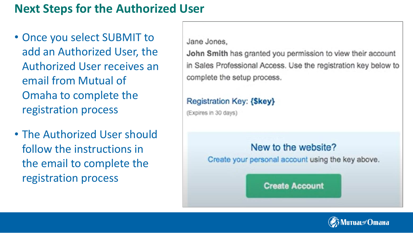## **Next Steps for the Authorized User**

- Once you select SUBMIT to add an Authorized User, the Authorized User receives an email from Mutual of Omaha to complete the registration process
- The Authorized User should follow the instructions in the email to complete the registration process

Jane Jones,

John Smith has granted you permission to view their account in Sales Professional Access. Use the registration key below to complete the setup process.

#### **Registration Key: {\$key}**

(Expires in 30 days)

#### New to the website?

Create your personal account using the key above.

**Create Account** 

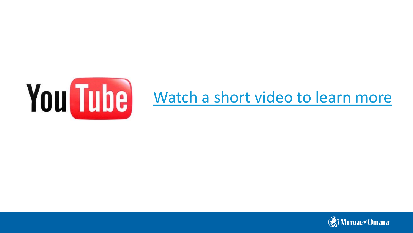

# You Tube [Watch a short video to learn more](https://youtu.be/pZUkEIBNpyM)